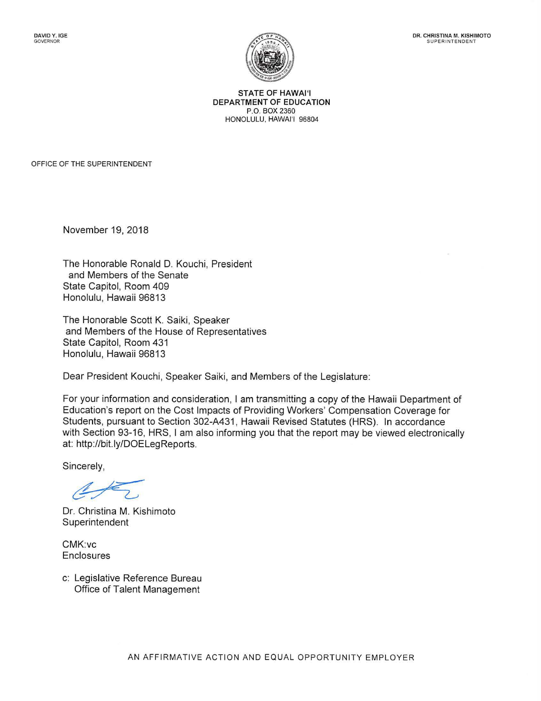

STATE OF **HAWAl'I**  DEPARTMENT OF EDUCATION P.O. BOX 2360 HONOLULU, HAWAl'I 96804

OFFICE OF THE SUPERINTENDENT

November 19, 2018

The Honorable Ronald D. Kouchi, President and Members of the Senate State Capitol, Room 409 Honolulu, Hawaii 96813

The Honorable Scott K. Saiki, Speaker and Members of the House of Representatives State Capitol, Room 431 Honolulu, Hawaii 96813

Dear President Kouchi, Speaker Saiki, and Members of the Legislature:

For your information and consideration, I am transmitting a copy of the Hawaii Department of Education's report on the Cost Impacts of Providing Workers' Compensation Coverage for Students, pursuant to Section 302-A431 , Hawaii Revised Statutes (HRS). In accordance with Section 93-16, HRS, I am also informing you that the report may be viewed electronically at: http://bit.ly/DOELegReports.

Sincerely,

Dr. Christina M. Kishimoto Superintendent

CMK:vc **Enclosures** 

c: Legislative Reference Bureau Office of Talent Management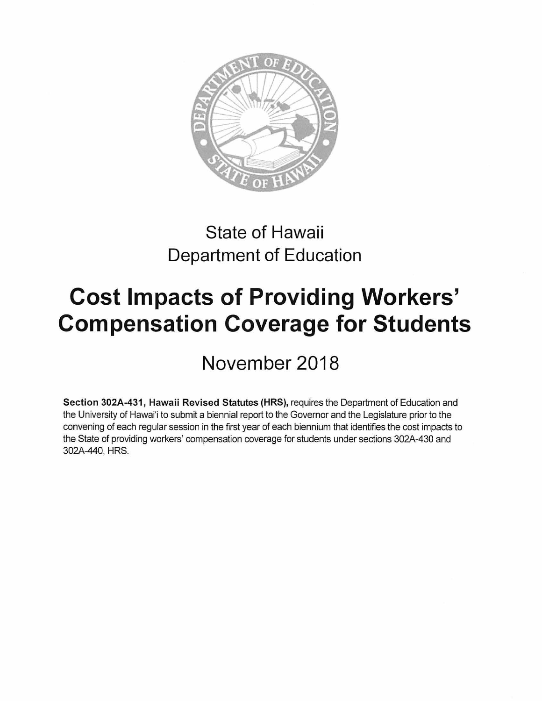

## State of Hawaii Department of Education

## **Cost Impacts of Providing Workers' Compensation Coverage for Students**

November 2018

**Section 302A-431, Hawaii Revised Statutes (HRS),** requires the Department of Education and the University of Hawai'i to submit a biennial report to the Governor and the Legislature prior to the convening of each regular session in the first year of each biennium that identifies the cost impacts to the State of providing workers' compensation coverage for students under sections 302A-430 and 302A-440, HRS.